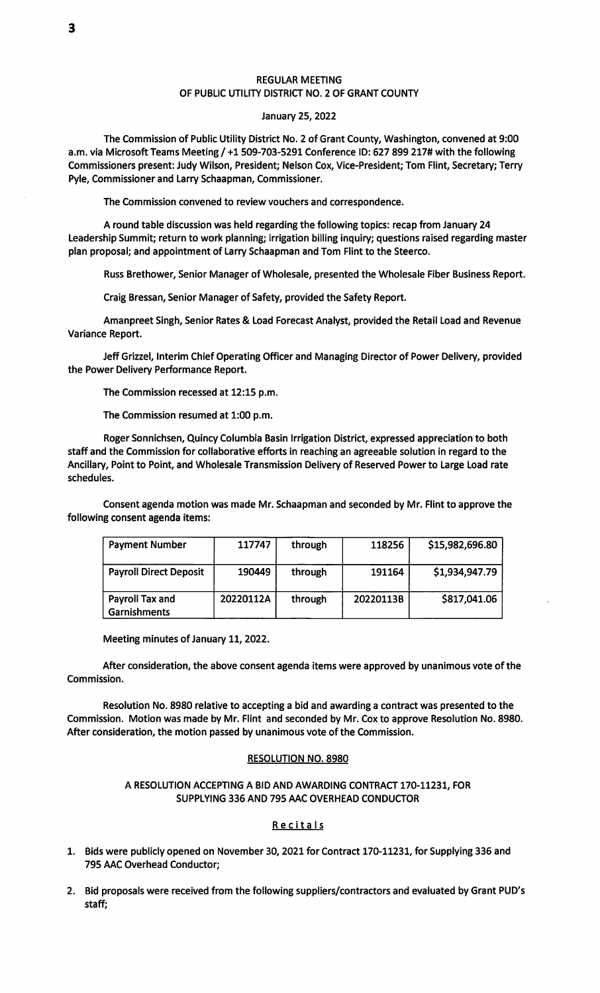#### REGULAR MEETING OF PUBLIC UTILITY DISTRICT NO. 2 OF GRANT COUNTY

#### January 25, 2022

The Commission of Public Utility District No. 2 of Grant County, Washington, convened at 9:00 a.m. via Microsoft Teams Meeting/+1509-703-5291 Conference ID: 627 899 217# with the following Commissioners present: Judy Wilson, President; Neison Cox, Vice-President; Tom Flint, Secretary; Terry Pyle, Commissioner and Larry Schaapman, Commissioner.

The Commission convened to review vouchers and correspondence.

A round tabie discussion was held regarding the foilowing topics: recap from January 24 Leadership Summit; return to work pianning; irrigation biliing inquiry; questions raised regarding master pian proposal; and appointment of Larry Schaapman and Tom Flint to the Steerco.

Russ Brethower, Senior Manager of Wholesale, presented the Wholesale Fiber Business Report.

Craig Bressan, Senior Manager of Safety, provided the Safety Report.

Amanpreet Singh, Senior Rates & Load Forecast Analyst, provided the Retail Load and Revenue Variance Report.

Jeff Grizzei, Interim Chief Operating Officer and Managing Director of Power Deiivery, provided the Power Delivery Performance Report.

The Commission recessed at 12:15 p.m.

The Commission resumed at 1:00 p.m.

Roger Sonnichsen, Quincy Columbia Basin Irrigation District, expressed appreciation to both staff and the Commission for collaborative efforts in reaching an agreeable solution in regard to the Ancillary, Point to Point, and Wholesaie Transmission Delivery of Reserved Power to Large Load rate scheduies.

Consent agenda motion was made Mr. Schaapman and seconded by Mr. Flint to approve the following consent agenda items:

| <b>Payment Number</b>                  | 117747    | through | 118256    | \$15,982,696.80 |
|----------------------------------------|-----------|---------|-----------|-----------------|
| <b>Payroll Direct Deposit</b>          | 190449    | through | 191164    | \$1,934,947.79  |
| Payroll Tax and<br><b>Garnishments</b> | 20220112A | through | 20220113B | \$817,041.06    |

Meeting minutes of January 11,2022.

After consideration, the above consent agenda items were approved by unanimous vote of the Commission.

Resolution No. 8980 relative to accepting a bid and awarding a contract was presented to the Commission. Motion was made by Mr. Flint and seconded by Mr. Cox to approve Resolution No. 8980. After consideration, the motion passed by unanimous vote of the Commission.

#### RESOLUTION NO. 8980

### A RESOLUTION ACCEPTING A BID AND AWARDING CONTRACT 170-11231, FOR SUPPLYING 336 AND 795 AAC OVERHEAD CONDUCTOR

#### Recitals

- 1. Bids were pubiicly opened on November 30, 2021 for Contract 170-11231, for Supplying 336 and 795 AAC Overhead Conductor;
- 2. Bid proposals were received from the following suppliers/contractors and evaluated by Grant PUD's staff;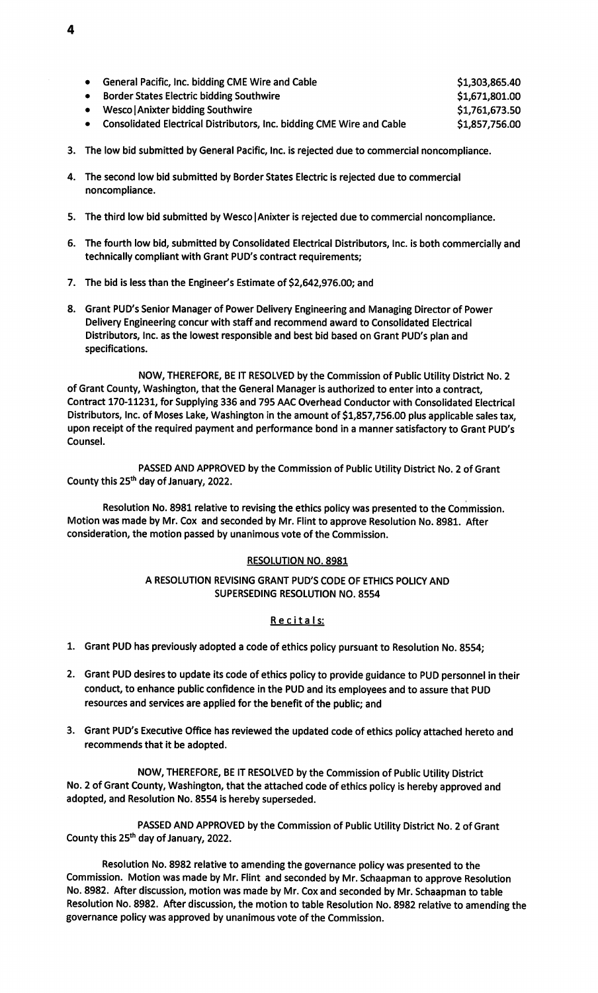| General Pacific, Inc. bidding CME Wire and Cable                        | \$1,303,865.40 |
|-------------------------------------------------------------------------|----------------|
| <b>Border States Electric bidding Southwire</b>                         | \$1,671,801.00 |
| Wesco   Anixter bidding Southwire                                       | \$1,761,673.50 |
| • Consolidated Electrical Distributors, Inc. bidding CME Wire and Cable | \$1,857,756.00 |

- 3. The low bid submitted by General Pacific, Inc. is rejected due to commercial noncompliance.
- 4. The second low bid submitted by Border States Electric is rejected due to commercial noncompliance.
- 5. The third low bid submitted by Wesco | Anixter is rejected due to commercial noncompliance.
- 6. The fourth low bid, submitted by Consolidated Electrical Distributors, Inc. is both commercially and technically compliant with Grant PUD's contract requirements;
- 7. The bid is less than the Engineer's Estimate of \$2,642,976.00; and
- 8. Grant PUD's Senior Manager of Power Delivery Engineering and Managing Director of Power Delivery Engineering concur with staff and recommend award to Consolidated Electrical Distributors, Inc. as the lowest responsible and best bid based on Grant PUD's plan and specifications.

NOW, THEREFORE, BE IT RESOLVED by the Commission of Public Utility District No. 2 of Grant County, Washington, that the General Manager is authorized to enter into a contract, Contract 170-11231, for Supplying 336 and 795 AAC Overhead Conductor with Consolidated Electrical Distributors, Inc. of Moses Lake, Washington in the amount of \$1,857,756.00 plus applicable sales tax, upon receipt of the required payment and performance bond in a manner satisfactory to Grant PUD's Counsel.

PASSED AND APPROVED by the Commission of Public Utility District No. 2 of Grant County this 25<sup>th</sup> day of January, 2022.

Resolution No. 8981 relative to revising the ethics policy was presented to the Commission. Motion was made by Mr. Cox and seconded by Mr. Flint to approve Resolution No. 8981. After consideration, the motion passed by unanimous vote of the Commission.

## RESOLUTION NO. 8981

## A RESOLUTION REVISING GRANT PUD'S CODE OF ETHICS POLICY AND **SUPERSEDING RESOLUTION NO. 8554**

# Recitals:

- 1. Grant PUD has previously adopted a code of ethics policy pursuant to Resolution No. 8554;
- 2. Grant PUD desires to update its code of ethics policy to provide guidance to PUD personnel in their conduct, to enhance public confidence in the PUD and its employees and to assure that PUD resources and services are applied for the benefit of the public; and
- 3. Grant PUD's Executive Office has reviewed the updated code of ethics policy attached hereto and recommends that it be adopted.

NOW, THEREFORE, BE IT RESOLVED by the Commission of Public Utility District No. 2 of Grant County, Washington, that the attached code of ethics policy is hereby approved and adopted, and Resolution No. 8554 is hereby superseded.

PASSED AND APPROVED by the Commission of Public Utility District No. 2 of Grant County this 25<sup>th</sup> day of January, 2022.

Resolution No. 8982 relative to amending the governance policy was presented to the Commission. Motion was made by Mr. Flint and seconded by Mr. Schaapman to approve Resolution No. 8982. After discussion, motion was made by Mr. Cox and seconded by Mr. Schaapman to table Resolution No. 8982. After discussion, the motion to table Resolution No. 8982 relative to amending the governance policy was approved by unanimous vote of the Commission.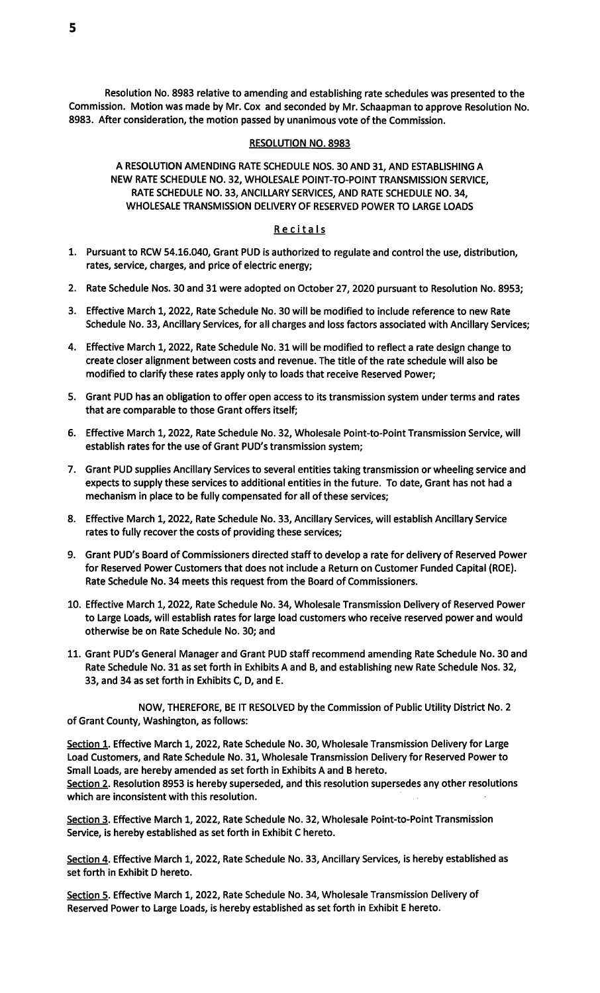5

Resolution No. 8983 relative to amending and establishing rate schedules was presented to the Commission. Motion was made by Mr. Cox and seconded by Mr. Schaapman to approve Resolution No. 8983. After consideration, the motion passed by unanimous vote of the Commission.

### **RESOLUTION NO. 8983**

# A RESOLUTION AMENDING RATE SCHEDULE NOS. 30 AND 31, AND ESTABLISHING A NEW RATE SCHEDULE NO. 32, WHOLESALE POINT-TO-POINT TRANSMISSION SERVICE, RATE SCHEDULE NO. 33, ANCILLARY SERVICES, AND RATE SCHEDULE NO. 34, WHOLESALE TRANSMISSION DELIVERY OF RESERVED POWER TO LARGE LOADS

## Recitals

- 1. Pursuant to RCW 54.16.040, Grant PUD is authorized to regulate and control the use, distribution, rates, service, charges, and price of electric energy;
- 2. Rate Schedule Nos. 30 and 31 were adopted on October 27, 2020 pursuant to Resolution No. 8953;
- 3. Effective March 1, 2022, Rate Schedule No. 30 will be modified to include reference to new Rate Schedule No. 33, Ancillary Services, for all charges and loss factors associated with Ancillary Services;
- 4. Effective March 1, 2022, Rate Schedule No. 31 will be modified to reflect a rate design change to create closer alignment between costs and revenue. The title of the rate schedule will also be modified to clarify these rates apply only to loads that receive Reserved Power;
- 5. Grant PUD has an obligation to offer open access to its transmission system under terms and rates that are comparable to those Grant offers itself;
- 6. Effective March 1, 2022, Rate Schedule No. 32, Wholesale Point-to-Point Transmission Service, will establish rates for the use of Grant PUD's transmission system;
- 7. Grant PUD supplies Ancillary Services to several entities taking transmission or wheeling service and expects to supply these services to additional entities in the future. To date, Grant has not had a mechanism in place to be fully compensated for all of these services;
- 8. Effective March 1, 2022, Rate Schedule No. 33, Ancillary Services, will establish Ancillary Service rates to fully recover the costs of providing these services;
- 9. Grant PUD's Board of Commissioners directed staff to develop a rate for delivery of Reserved Power for Reserved Power Customers that does not include a Return on Customer Funded Capital (ROE). Rate Schedule No. 34 meets this request from the Board of Commissioners.
- 10. Effective March 1, 2022, Rate Schedule No. 34, Wholesale Transmission Delivery of Reserved Power to Large Loads, will establish rates for large load customers who receive reserved power and would otherwise be on Rate Schedule No. 30; and
- 11. Grant PUD's General Manager and Grant PUD staff recommend amending Rate Schedule No. 30 and Rate Schedule No. 31 as set forth in Exhibits A and B, and establishing new Rate Schedule Nos. 32, 33, and 34 as set forth in Exhibits C, D, and E.

NOW, THEREFORE, BE IT RESOLVED by the Commission of Public Utility District No. 2 of Grant County, Washington, as follows:

Section 1. Effective March 1, 2022, Rate Schedule No. 30, Wholesale Transmission Delivery for Large Load Customers, and Rate Schedule No. 31, Wholesale Transmission Delivery for Reserved Power to Small Loads, are hereby amended as set forth in Exhibits A and B hereto. Section 2. Resolution 8953 is hereby superseded, and this resolution supersedes any other resolutions which are inconsistent with this resolution.

Section 3. Effective March 1, 2022, Rate Schedule No. 32, Wholesale Point-to-Point Transmission Service, is hereby established as set forth in Exhibit C hereto.

Section 4. Effective March 1, 2022, Rate Schedule No. 33, Ancillary Services, is hereby established as set forth in Exhibit D hereto.

Section 5. Effective March 1, 2022, Rate Schedule No. 34, Wholesale Transmission Delivery of Reserved Power to Large Loads, is hereby established as set forth in Exhibit E hereto.